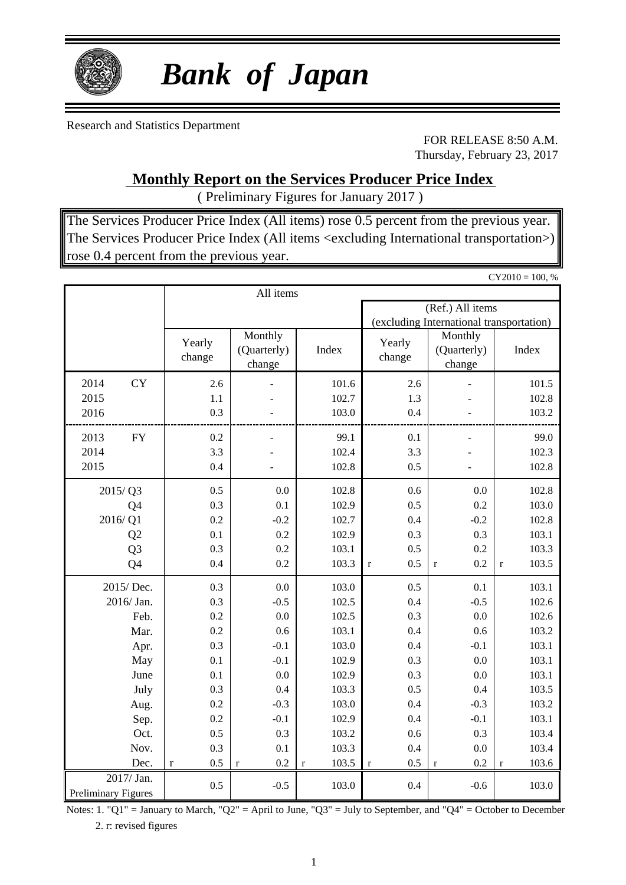

# *Bank of Japan*

Research and Statistics Department

FOR RELEASE 8:50 A.M. Thursday, February 23, 2017

### **Monthly Report on the Services Producer Price Index**

( Preliminary Figures for January 2017 )

The Services Producer Price Index (All items) rose 0.5 percent from the previous year. The Services Producer Price Index (All items <excluding International transportation>) rose 0.4 percent from the previous year.

|                     |                    |                                  |                      |                     |                                          | $CY2010 = 100, %$    |
|---------------------|--------------------|----------------------------------|----------------------|---------------------|------------------------------------------|----------------------|
|                     |                    | All items                        |                      |                     |                                          |                      |
|                     |                    |                                  |                      |                     | (Ref.) All items                         |                      |
|                     |                    |                                  |                      |                     | (excluding International transportation) |                      |
|                     | Yearly<br>change   | Monthly<br>(Quarterly)<br>change | Index                | Yearly<br>change    | Monthly<br>(Quarterly)<br>change         | Index                |
| <b>CY</b><br>2014   | 2.6                |                                  | 101.6                | 2.6                 |                                          | 101.5                |
| 2015                | 1.1                |                                  | 102.7                | 1.3                 |                                          | 102.8                |
| 2016                | 0.3                |                                  | 103.0                | 0.4                 |                                          | 103.2                |
| 2013<br>${\rm FY}$  | 0.2                |                                  | 99.1                 | 0.1                 |                                          | 99.0                 |
| 2014                | 3.3                |                                  | 102.4                | 3.3                 |                                          | 102.3                |
| 2015                | 0.4                |                                  | 102.8                | 0.5                 |                                          | 102.8                |
| 2015/Q3             | 0.5                | 0.0                              | 102.8                | 0.6                 | 0.0                                      | 102.8                |
| Q4                  | 0.3                | 0.1                              | 102.9                | 0.5                 | 0.2                                      | 103.0                |
| 2016/Q1             | 0.2                | $-0.2$                           | 102.7                | 0.4                 | $-0.2$                                   | 102.8                |
| Q <sub>2</sub>      | 0.1                | 0.2                              | 102.9                | 0.3                 | 0.3                                      | 103.1                |
| Q <sub>3</sub>      | 0.3                | 0.2                              | 103.1                | 0.5                 | 0.2                                      | 103.3                |
| Q4                  | 0.4                | 0.2                              | 103.3                | 0.5<br>$\mathbf{r}$ | 0.2<br>$\mathbf r$                       | 103.5<br>$\mathbf r$ |
| 2015/Dec.           | 0.3                | 0.0                              | 103.0                | 0.5                 | 0.1                                      | 103.1                |
| 2016/Jan.           | 0.3                | $-0.5$                           | 102.5                | 0.4                 | $-0.5$                                   | 102.6                |
| Feb.                | 0.2                | 0.0                              | 102.5                | 0.3                 | 0.0                                      | 102.6                |
| Mar.                | 0.2                | 0.6                              | 103.1                | 0.4                 | 0.6                                      | 103.2                |
| Apr.                | 0.3                | $-0.1$                           | 103.0                | 0.4                 | $-0.1$                                   | 103.1                |
| May                 | 0.1                | $-0.1$                           | 102.9                | 0.3                 | 0.0                                      | 103.1                |
| June                | 0.1                | 0.0                              | 102.9                | 0.3                 | 0.0                                      | 103.1                |
| July                | 0.3                | 0.4                              | 103.3                | 0.5                 | 0.4                                      | 103.5                |
| Aug.                | 0.2                | $-0.3$                           | 103.0                | 0.4                 | $-0.3$                                   | 103.2                |
| Sep.                | 0.2                | $-0.1$                           | 102.9                | 0.4                 | $-0.1$                                   | 103.1                |
| Oct.                | 0.5                | 0.3                              | 103.2                | 0.6                 | 0.3                                      | 103.4                |
| Nov.                | 0.3                | 0.1                              | 103.3                | 0.4                 | $0.0\,$                                  | 103.4                |
| Dec.                | 0.5<br>$\mathbf r$ | 0.2<br>$\mathbf r$               | 103.5<br>$\mathbf r$ | 0.5<br>$\mathbf r$  | 0.2<br>$\mathbf r$                       | 103.6<br>$\mathbf r$ |
| 2017/ Jan.          | 0.5                | $-0.5$                           | 103.0                | 0.4                 | $-0.6$                                   | 103.0                |
| Preliminary Figures |                    |                                  |                      |                     |                                          |                      |

Notes: 1. "Q1" = January to March, "Q2" = April to June, "Q3" = July to September, and "Q4" = October to December 2. r: revised figures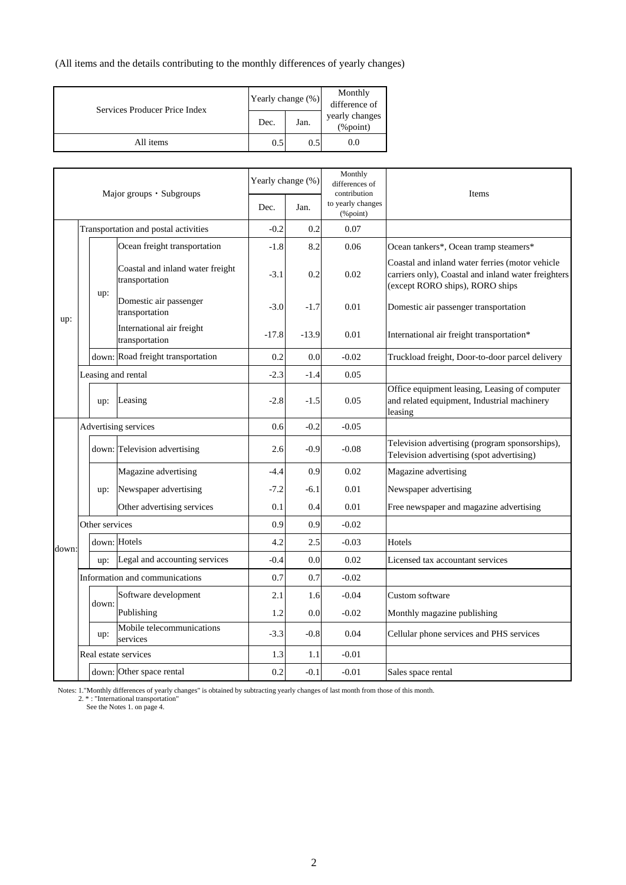(All items and the details contributing to the monthly differences of yearly changes)

| Services Producer Price Index | Yearly change (%) |               | Monthly<br>difference of   |
|-------------------------------|-------------------|---------------|----------------------------|
|                               | Dec.              | Jan.          | yearly changes<br>(%point) |
| All items                     | 0.5               | $0.5^{\circ}$ | 0.0                        |

|       |                | Major groups $\cdot$ Subgroups                     | Yearly change (%) |         | Monthly<br>differences of<br>contribution | Items                                                                                                                                     |
|-------|----------------|----------------------------------------------------|-------------------|---------|-------------------------------------------|-------------------------------------------------------------------------------------------------------------------------------------------|
|       |                |                                                    | Dec.              | Jan.    | to yearly changes<br>(%point)             |                                                                                                                                           |
|       |                | Transportation and postal activities               | $-0.2$            | 0.2     | 0.07                                      |                                                                                                                                           |
|       |                | Ocean freight transportation                       | $-1.8$            | 8.2     | 0.06                                      | Ocean tankers*, Ocean tramp steamers*                                                                                                     |
|       |                | Coastal and inland water freight<br>transportation | $-3.1$            | 0.2     | 0.02                                      | Coastal and inland water ferries (motor vehicle<br>carriers only), Coastal and inland water freighters<br>(except RORO ships), RORO ships |
| up:   | up:            | Domestic air passenger<br>transportation           | $-3.0$            | $-1.7$  | 0.01                                      | Domestic air passenger transportation                                                                                                     |
|       |                | International air freight<br>transportation        | $-17.8$           | $-13.9$ | 0.01                                      | International air freight transportation*                                                                                                 |
|       |                | down: Road freight transportation                  | 0.2               | 0.0     | $-0.02$                                   | Truckload freight, Door-to-door parcel delivery                                                                                           |
|       |                | Leasing and rental                                 | $-2.3$            | $-1.4$  | 0.05                                      |                                                                                                                                           |
|       | up:            | Leasing                                            | $-2.8$            | $-1.5$  | 0.05                                      | Office equipment leasing, Leasing of computer<br>and related equipment, Industrial machinery<br>leasing                                   |
|       |                | Advertising services                               | 0.6               | $-0.2$  | $-0.05$                                   |                                                                                                                                           |
|       |                | down: Television advertising                       | 2.6               | $-0.9$  | $-0.08$                                   | Television advertising (program sponsorships),<br>Television advertising (spot advertising)                                               |
|       |                | Magazine advertising                               | $-4.4$            | 0.9     | 0.02                                      | Magazine advertising                                                                                                                      |
|       | up:            | Newspaper advertising                              | $-7.2$            | $-6.1$  | 0.01                                      | Newspaper advertising                                                                                                                     |
|       |                | Other advertising services                         | 0.1               | 0.4     | 0.01                                      | Free newspaper and magazine advertising                                                                                                   |
|       | Other services |                                                    | 0.9               | 0.9     | $-0.02$                                   |                                                                                                                                           |
| down: |                | down: Hotels                                       | 4.2               | 2.5     | $-0.03$                                   | Hotels                                                                                                                                    |
|       | up:            | Legal and accounting services                      | $-0.4$            | 0.0     | 0.02                                      | Licensed tax accountant services                                                                                                          |
|       |                | Information and communications                     | 0.7               | 0.7     | $-0.02$                                   |                                                                                                                                           |
|       | down:          | Software development                               | 2.1               | 1.6     | $-0.04$                                   | Custom software                                                                                                                           |
|       |                | Publishing                                         | 1.2               | 0.0     | $-0.02$                                   | Monthly magazine publishing                                                                                                               |
|       | up:            | Mobile telecommunications<br>services              | $-3.3$            | $-0.8$  | 0.04                                      | Cellular phone services and PHS services                                                                                                  |
|       |                | Real estate services                               | 1.3               | 1.1     | $-0.01$                                   |                                                                                                                                           |
|       |                | down: Other space rental                           | 0.2               | $-0.1$  | $-0.01$                                   | Sales space rental                                                                                                                        |

Notes: 1."Monthly differences of yearly changes" is obtained by subtracting yearly changes of last month from those of this month.<br>2. \* : "International transportation"<br>See the Notes 1. on page 4.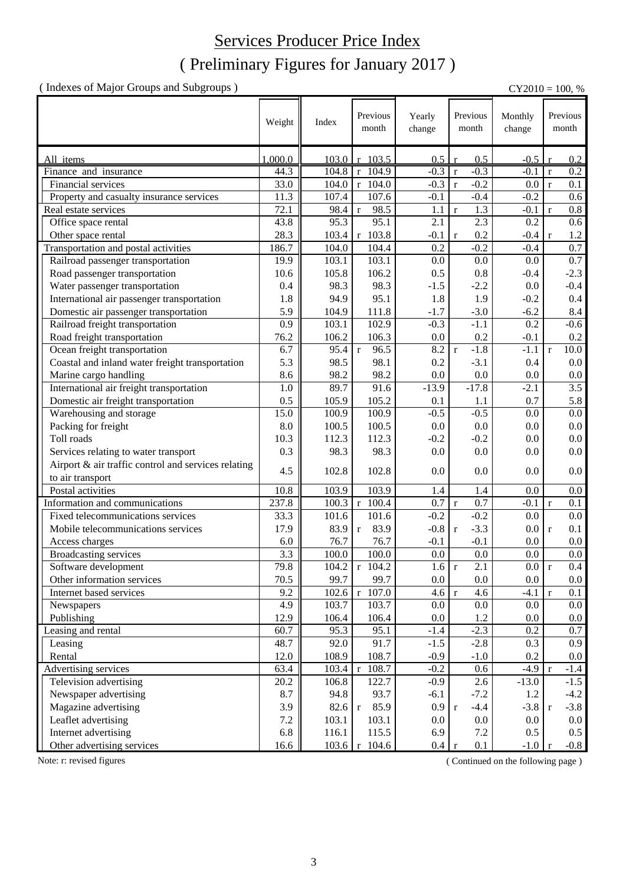## ( Preliminary Figures for January 2017 ) Services Producer Price Index

( Indexes of Major Groups and Subgroups ) CY2010 = 100, %

|                                                     | Weight  | Index | Previous<br>month    | Yearly<br>change | Previous<br>month      | Monthly<br>change |              | Previous<br>$\mathop{\rm month}$ |
|-----------------------------------------------------|---------|-------|----------------------|------------------|------------------------|-------------------|--------------|----------------------------------|
| All items                                           | 1,000.0 | 103.0 | 103.5<br>r           | 0.5              | 0.5                    | $-0.5$            |              | 0.2                              |
| Finance and insurance                               | 44.3    | 104.8 | 104.9<br>$\mathbf r$ | $-0.3$           | $-0.3$<br>$\mathbf{r}$ | $-0.1$            | $\mathbf r$  | $\overline{0.2}$                 |
| Financial services                                  | 33.0    | 104.0 | $r$ 104.0            | $-0.3$           | $-0.2$<br>$\mathbf{r}$ | 0.0               | $\mathbf r$  | 0.1                              |
| Property and casualty insurance services            | 11.3    | 107.4 | 107.6                | $-0.1$           | $-0.4$                 | $-0.2$            |              | 0.6                              |
| Real estate services                                | 72.1    | 98.4  | 98.5<br>$\mathbf r$  | 1.1              | 1.3<br>$\mathbf r$     | $-0.1$            | $\mathbf r$  | 0.8                              |
| Office space rental                                 | 43.8    | 95.3  | 95.1                 | 2.1              | 2.3                    | 0.2               |              | 0.6                              |
| Other space rental                                  | 28.3    | 103.4 | r 103.8              | $-0.1$           | 0.2<br>$\mathbf r$     | $-0.4$            | $\mathbf{r}$ | 1.2                              |
| Transportation and postal activities                | 186.7   | 104.0 | 104.4                | 0.2              | $-0.2$                 | $-0.4$            |              | 0.7                              |
| Railroad passenger transportation                   | 19.9    | 103.1 | 103.1                | 0.0              | 0.0                    | 0.0               |              | 0.7                              |
| Road passenger transportation                       | 10.6    | 105.8 | 106.2                | 0.5              | 0.8                    | $-0.4$            |              | $-2.3$                           |
| Water passenger transportation                      | 0.4     | 98.3  | 98.3                 | $-1.5$           | $-2.2$                 | 0.0               |              | $-0.4$                           |
| International air passenger transportation          | 1.8     | 94.9  | 95.1                 | 1.8              | 1.9                    | $-0.2$            |              | 0.4                              |
| Domestic air passenger transportation               | 5.9     | 104.9 | 111.8                | $-1.7$           | $-3.0$                 | $-6.2$            |              | 8.4                              |
| Railroad freight transportation                     | 0.9     | 103.1 | 102.9                | $-0.3$           | $-1.1$                 | 0.2               |              | $-0.6$                           |
| Road freight transportation                         | 76.2    | 106.2 | 106.3                | 0.0              | 0.2                    | $-0.1$            |              | 0.2                              |
| Ocean freight transportation                        | 6.7     | 95.4  | $\mathbf{r}$<br>96.5 | 8.2              | $-1.8$<br>$\mathbf{r}$ | $-1.1$            | $\mathbf{r}$ | 10.0                             |
| Coastal and inland water freight transportation     | 5.3     | 98.5  | 98.1                 | 0.2              | $-3.1$                 | 0.4               |              | 0.0                              |
| Marine cargo handling                               | 8.6     | 98.2  | 98.2                 | 0.0              | 0.0                    | 0.0               |              | 0.0                              |
| International air freight transportation            | 1.0     | 89.7  | 91.6                 | $-13.9$          | $-17.8$                | $-2.1$            |              | $\overline{3.5}$                 |
| Domestic air freight transportation                 | 0.5     | 105.9 | 105.2                | 0.1              | 1.1                    | 0.7               |              | 5.8                              |
| Warehousing and storage                             | 15.0    | 100.9 | 100.9                | $-0.5$           | $-0.5$                 | 0.0               |              | 0.0                              |
| Packing for freight                                 | 8.0     | 100.5 | 100.5                | 0.0              | 0.0                    | 0.0               |              | $0.0\,$                          |
| Toll roads                                          | 10.3    | 112.3 | 112.3                | $-0.2$           | $-0.2$                 | 0.0               |              | $0.0\,$                          |
| Services relating to water transport                | 0.3     | 98.3  | 98.3                 | 0.0              | 0.0                    | 0.0               |              | $0.0\,$                          |
| Airport & air traffic control and services relating | 4.5     | 102.8 | 102.8                | 0.0              | 0.0                    | 0.0               |              | 0.0                              |
| to air transport                                    |         |       |                      |                  |                        |                   |              |                                  |
| Postal activities                                   | 10.8    | 103.9 | 103.9                | 1.4              | 1.4                    | 0.0               |              | $0.0\,$                          |
| Information and communications                      | 237.8   | 100.3 | $r$ 100.4            | 0.7              | 0.7<br>$\mathbf{r}$    | $-0.1$            | $\mathbf{r}$ | 0.1                              |
| Fixed telecommunications services                   | 33.3    | 101.6 | 101.6                | $-0.2$           | $-0.2$                 | 0.0               |              | $0.0\,$                          |
| Mobile telecommunications services                  | 17.9    | 83.9  | 83.9<br>$\mathbf r$  | $-0.8$           | $-3.3$<br>$\mathbf{r}$ | 0.0               | $\mathbf{r}$ | 0.1                              |
| Access charges                                      | 6.0     | 76.7  | 76.7                 | $-0.1$           | $-0.1$                 | 0.0               |              | 0.0                              |
| Broadcasting services                               | 3.3     | 100.0 | 100.0                | 0.0              | 0.0                    | 0.0               |              | $0.0\,$                          |
| Software development                                | 79.8    | 104.2 | $\sqrt{r}$ 104.2     | $1.6 \mid r$     | $\overline{2.1}$       | 0.0 r             |              | $0.4\,$                          |
| Other information services                          | 70.5    | 99.7  | 99.7                 | $0.0\,$          | $0.0\,$                | 0.0               |              | $0.0\,$                          |
| Internet based services                             | 9.2     | 102.6 | 107.0<br>$\mathbf r$ | $4.6 \text{ r}$  | 4.6                    | $-4.1$            | $\mathbf{r}$ | 0.1                              |
| Newspapers                                          | 4.9     | 103.7 | 103.7                | 0.0              | $0.0\,$                | $0.0\,$           |              | 0.0                              |
| Publishing                                          | 12.9    | 106.4 | 106.4                | $0.0\,$          | 1.2                    | 0.0               |              | $0.0\,$                          |
| Leasing and rental                                  | 60.7    | 95.3  | 95.1                 | $-1.4$           | $-2.3$                 | 0.2               |              | 0.7                              |
| Leasing                                             | 48.7    | 92.0  | 91.7                 | $-1.5$           | $-2.8$                 | 0.3               |              | 0.9                              |
| Rental                                              | 12.0    | 108.9 | 108.7                | $-0.9$           | $-1.0$                 | 0.2               |              | 0.0                              |
| Advertising services                                | 63.4    | 103.4 | 108.7<br>r           | $-0.2$           | 0.6                    | $-4.9$            | <sup>r</sup> | $-1.4$                           |
| Television advertising                              | 20.2    | 106.8 | 122.7                | $-0.9$           | 2.6                    | $-13.0$           |              | $-1.5$                           |
| Newspaper advertising                               | 8.7     | 94.8  | 93.7                 | $-6.1$           | $-7.2$                 | 1.2               |              | $-4.2$                           |
| Magazine advertising                                | 3.9     | 82.6  | 85.9<br>$\mathbf r$  | 0.9 <sup>°</sup> | $-4.4$<br>$\mathbf{r}$ | $-3.8$            | $\mathbf{r}$ | $-3.8$                           |
| Leaflet advertising                                 | $7.2\,$ | 103.1 | 103.1                | $0.0\,$          | $0.0\,$                | 0.0               |              | 0.0                              |
| Internet advertising                                | 6.8     | 116.1 | 115.5                | 6.9              | $7.2\,$                | 0.5               |              | $0.5\,$                          |
| Other advertising services                          | 16.6    |       | 103.6 r 104.6        | 0.4              | 0.1<br>$\mathbf{r}$    | $-1.0$            | $\mathbf{r}$ | $-0.8$                           |

Note: r: revised figures (Continued on the following page)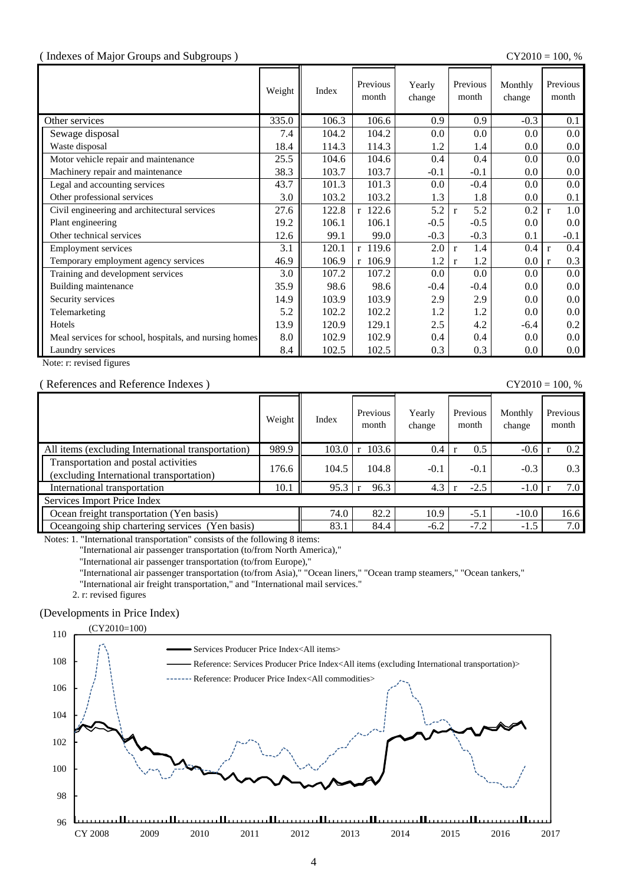#### ( Indexes of Major Groups and Subgroups ) CY2010 = 100, %

|                                                        | Weight | Index | Previous<br>month | Yearly<br>change | Previous<br>month   | Monthly<br>change | Previous<br>month   |
|--------------------------------------------------------|--------|-------|-------------------|------------------|---------------------|-------------------|---------------------|
| Other services                                         | 335.0  | 106.3 | 106.6             | 0.9              | 0.9                 | $-0.3$            | 0.1                 |
| Sewage disposal                                        | 7.4    | 104.2 | 104.2             | 0.0              | 0.0                 | $0.0\,$           | $0.0\,$             |
| Waste disposal                                         | 18.4   | 114.3 | 114.3             | 1.2              | 1.4                 | 0.0               | 0.0                 |
| Motor vehicle repair and maintenance                   | 25.5   | 104.6 | 104.6             | 0.4              | 0.4                 | 0.0               | $0.0\,$             |
| Machinery repair and maintenance                       | 38.3   | 103.7 | 103.7             | $-0.1$           | $-0.1$              | 0.0               | $0.0\,$             |
| Legal and accounting services                          | 43.7   | 101.3 | 101.3             | 0.0              | $-0.4$              | 0.0               | $0.0\,$             |
| Other professional services                            | 3.0    | 103.2 | 103.2             | 1.3              | 1.8                 | 0.0               | 0.1                 |
| Civil engineering and architectural services           | 27.6   | 122.8 | r 122.6           | 5.2              | 5.2<br>$\mathbf{r}$ | 0.2               | 1.0<br>$\mathbf{r}$ |
| Plant engineering                                      | 19.2   | 106.1 | 106.1             | $-0.5$           | $-0.5$              | 0.0               | $0.0\,$             |
| Other technical services                               | 12.6   | 99.1  | 99.0              | $-0.3$           | $-0.3$              | 0.1               | $-0.1$              |
| <b>Employment services</b>                             | 3.1    | 120.1 | r 119.6           | 2.0              | 1.4<br>$\mathbf{r}$ | 0.4               | 0.4<br>$\mathbf{r}$ |
| Temporary employment agency services                   | 46.9   | 106.9 | r 106.9           | 1.2              | 1.2<br>$\mathbf{r}$ | 0.0               | 0.3<br>$\mathbf{r}$ |
| Training and development services                      | 3.0    | 107.2 | 107.2             | 0.0              | 0.0                 | 0.0               | $0.0\,$             |
| Building maintenance                                   | 35.9   | 98.6  | 98.6              | $-0.4$           | $-0.4$              | 0.0               | $0.0\,$             |
| Security services                                      | 14.9   | 103.9 | 103.9             | 2.9              | 2.9                 | 0.0               | $0.0\,$             |
| Telemarketing                                          | 5.2    | 102.2 | 102.2             | 1.2              | 1.2                 | 0.0               | $0.0\,$             |
| Hotels                                                 | 13.9   | 120.9 | 129.1             | 2.5              | 4.2                 | $-6.4$            | $0.2\,$             |
| Meal services for school, hospitals, and nursing homes | 8.0    | 102.9 | 102.9             | 0.4              | 0.4                 | 0.0               | $0.0\,$             |
| Laundry services                                       | 8.4    | 102.5 | 102.5             | 0.3              | 0.3                 | 0.0               | $0.0\,$             |

Note: r: revised figures

#### ( References and Reference Indexes ) CY2010 = 100, %

|                                                                                  | Weight | Index | Previous<br>month | Yearly<br>change | Previous<br>month | Monthly<br>change | Previous<br>month |
|----------------------------------------------------------------------------------|--------|-------|-------------------|------------------|-------------------|-------------------|-------------------|
| All items (excluding International transportation)                               | 989.9  | 103.0 | 103.6<br>r        | 0.4              | 0.5               | $-0.6$            | 0.2               |
| Transportation and postal activities<br>(excluding International transportation) | 176.6  | 104.5 | 104.8             | $-0.1$           | $-0.1$            | $-0.3$            | 0.3               |
| International transportation                                                     | 10.1   | 95.3  | 96.3              | 4.3              | $-2.5$            | $-1.0$            | 7.0               |
| Services Import Price Index                                                      |        |       |                   |                  |                   |                   |                   |
| Ocean freight transportation (Yen basis)                                         |        | 74.0  | 82.2              | 10.9             | $-5.1$            | $-10.0$           | 16.6              |
| Oceangoing ship chartering services (Yen basis)                                  |        | 83.1  | 84.4              | $-6.2$           | $-7.2$            | $-1.5$            | 7.0               |

Notes: 1. "International transportation" consists of the following 8 items:

"International air passenger transportation (to/from North America),"

"International air passenger transportation (to/from Europe),"

"International air passenger transportation (to/from Asia)," "Ocean liners," "Ocean tramp steamers," "Ocean tankers,"

"International air freight transportation," and "International mail services."

2. r: revised figures

#### (Developments in Price Index)